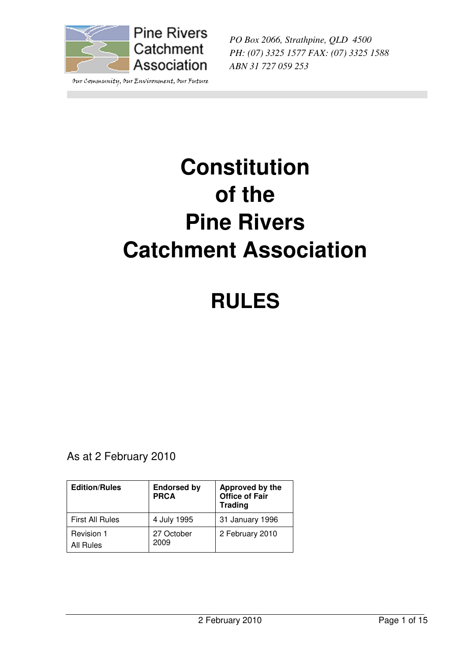

Our Community, Our Environment, Our Future

*PO Box 2066, Strathpine, QLD 4500 PH: (07) 3325 1577 FAX: (07) 3325 1588 ABN 31 727 059 253* 

# **Constitution of the Pine Rivers Catchment Association**

## **RULES**

As at 2 February 2010

| <b>Edition/Rules</b>    | <b>Endorsed by</b><br><b>PRCA</b> | Approved by the<br><b>Office of Fair</b><br><b>Trading</b> |
|-------------------------|-----------------------------------|------------------------------------------------------------|
| <b>First All Rules</b>  | 4 July 1995                       | 31 January 1996                                            |
| Revision 1<br>All Rules | 27 October<br>2009                | 2 February 2010                                            |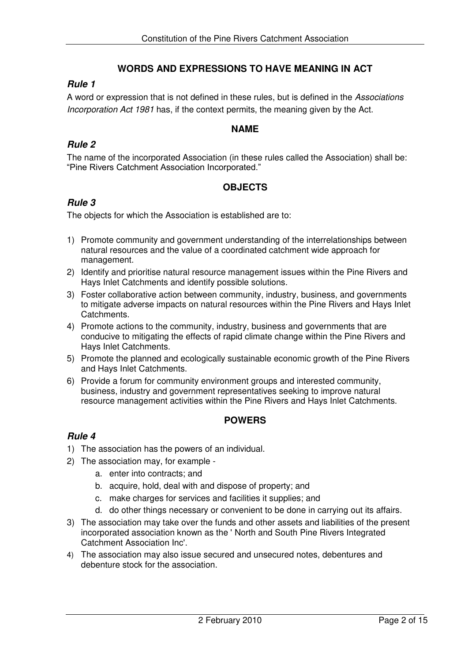## **WORDS AND EXPRESSIONS TO HAVE MEANING IN ACT**

## *Rule 1*

A word or expression that is not defined in these rules, but is defined in the *Associations Incorporation Act 1981* has, if the context permits, the meaning given by the Act.

## **NAME**

## *Rule 2*

The name of the incorporated Association (in these rules called the Association) shall be: "Pine Rivers Catchment Association Incorporated."

## **OBJECTS**

## *Rule 3*

The objects for which the Association is established are to:

- 1) Promote community and government understanding of the interrelationships between natural resources and the value of a coordinated catchment wide approach for management.
- 2) Identify and prioritise natural resource management issues within the Pine Rivers and Hays Inlet Catchments and identify possible solutions.
- 3) Foster collaborative action between community, industry, business, and governments to mitigate adverse impacts on natural resources within the Pine Rivers and Hays Inlet Catchments.
- 4) Promote actions to the community, industry, business and governments that are conducive to mitigating the effects of rapid climate change within the Pine Rivers and Hays Inlet Catchments.
- 5) Promote the planned and ecologically sustainable economic growth of the Pine Rivers and Hays Inlet Catchments.
- 6) Provide a forum for community environment groups and interested community, business, industry and government representatives seeking to improve natural resource management activities within the Pine Rivers and Hays Inlet Catchments.

#### **POWERS**

- 1) The association has the powers of an individual.
- 2) The association may, for example
	- a. enter into contracts; and
	- b. acquire, hold, deal with and dispose of property; and
	- c. make charges for services and facilities it supplies; and
	- d. do other things necessary or convenient to be done in carrying out its affairs.
- 3) The association may take over the funds and other assets and liabilities of the present incorporated association known as the ' North and South Pine Rivers Integrated Catchment Association Inc'.
- 4) The association may also issue secured and unsecured notes, debentures and debenture stock for the association.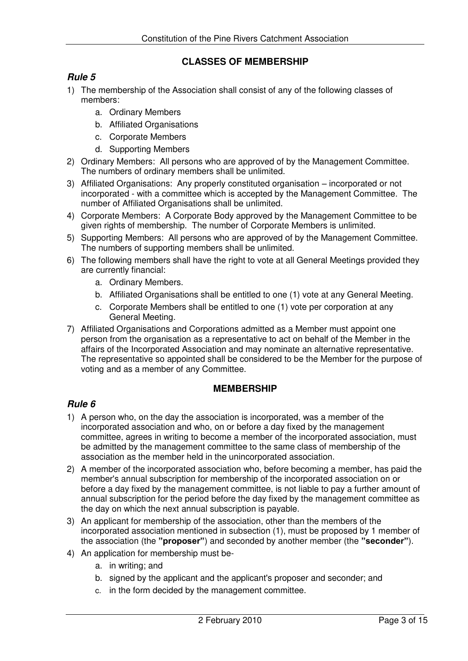## **CLASSES OF MEMBERSHIP**

## *Rule 5*

- 1) The membership of the Association shall consist of any of the following classes of members:
	- a. Ordinary Members
	- b. Affiliated Organisations
	- c. Corporate Members
	- d. Supporting Members
- 2) Ordinary Members: All persons who are approved of by the Management Committee. The numbers of ordinary members shall be unlimited.
- 3) Affiliated Organisations: Any properly constituted organisation incorporated or not incorporated - with a committee which is accepted by the Management Committee. The number of Affiliated Organisations shall be unlimited.
- 4) Corporate Members: A Corporate Body approved by the Management Committee to be given rights of membership. The number of Corporate Members is unlimited.
- 5) Supporting Members: All persons who are approved of by the Management Committee. The numbers of supporting members shall be unlimited.
- 6) The following members shall have the right to vote at all General Meetings provided they are currently financial:
	- a. Ordinary Members.
	- b. Affiliated Organisations shall be entitled to one (1) vote at any General Meeting.
	- c. Corporate Members shall be entitled to one (1) vote per corporation at any General Meeting.
- 7) Affiliated Organisations and Corporations admitted as a Member must appoint one person from the organisation as a representative to act on behalf of the Member in the affairs of the Incorporated Association and may nominate an alternative representative. The representative so appointed shall be considered to be the Member for the purpose of voting and as a member of any Committee.

#### **MEMBERSHIP**

- 1) A person who, on the day the association is incorporated, was a member of the incorporated association and who, on or before a day fixed by the management committee, agrees in writing to become a member of the incorporated association, must be admitted by the management committee to the same class of membership of the association as the member held in the unincorporated association.
- 2) A member of the incorporated association who, before becoming a member, has paid the member's annual subscription for membership of the incorporated association on or before a day fixed by the management committee, is not liable to pay a further amount of annual subscription for the period before the day fixed by the management committee as the day on which the next annual subscription is payable.
- 3) An applicant for membership of the association, other than the members of the incorporated association mentioned in subsection (1), must be proposed by 1 member of the association (the **"proposer"**) and seconded by another member (the **"seconder"**).
- 4) An application for membership must be
	- a. in writing; and
	- b. signed by the applicant and the applicant's proposer and seconder; and
	- c. in the form decided by the management committee.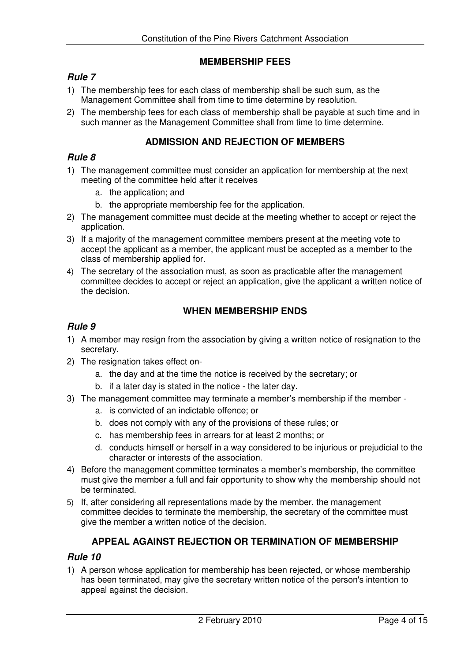## **MEMBERSHIP FEES**

## *Rule 7*

- 1) The membership fees for each class of membership shall be such sum, as the Management Committee shall from time to time determine by resolution.
- 2) The membership fees for each class of membership shall be payable at such time and in such manner as the Management Committee shall from time to time determine.

#### **ADMISSION AND REJECTION OF MEMBERS**

#### *Rule 8*

- 1) The management committee must consider an application for membership at the next meeting of the committee held after it receives
	- a. the application; and
	- b. the appropriate membership fee for the application.
- 2) The management committee must decide at the meeting whether to accept or reject the application.
- 3) If a majority of the management committee members present at the meeting vote to accept the applicant as a member, the applicant must be accepted as a member to the class of membership applied for.
- 4) The secretary of the association must, as soon as practicable after the management committee decides to accept or reject an application, give the applicant a written notice of the decision.

#### **WHEN MEMBERSHIP ENDS**

#### *Rule 9*

- 1) A member may resign from the association by giving a written notice of resignation to the secretary.
- 2) The resignation takes effect on
	- a. the day and at the time the notice is received by the secretary; or
	- b. if a later day is stated in the notice the later day.
- 3) The management committee may terminate a member's membership if the member
	- a. is convicted of an indictable offence; or
	- b. does not comply with any of the provisions of these rules; or
	- c. has membership fees in arrears for at least 2 months; or
	- d. conducts himself or herself in a way considered to be injurious or prejudicial to the character or interests of the association.
- 4) Before the management committee terminates a member's membership, the committee must give the member a full and fair opportunity to show why the membership should not be terminated.
- 5) If, after considering all representations made by the member, the management committee decides to terminate the membership, the secretary of the committee must give the member a written notice of the decision.

## **APPEAL AGAINST REJECTION OR TERMINATION OF MEMBERSHIP**

#### *Rule 10*

1) A person whose application for membership has been rejected, or whose membership has been terminated, may give the secretary written notice of the person's intention to appeal against the decision.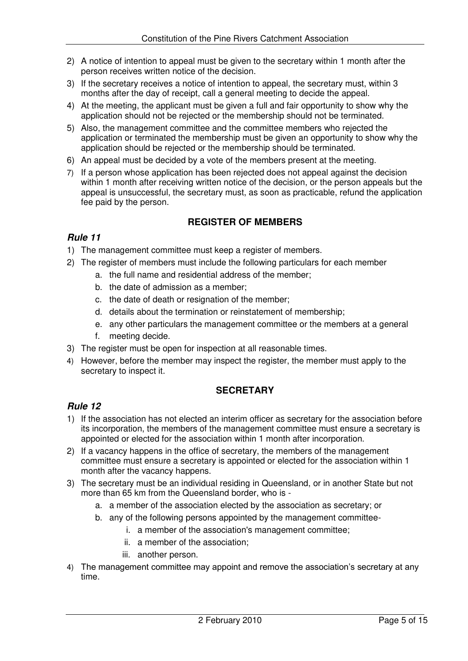- 2) A notice of intention to appeal must be given to the secretary within 1 month after the person receives written notice of the decision.
- 3) If the secretary receives a notice of intention to appeal, the secretary must, within 3 months after the day of receipt, call a general meeting to decide the appeal.
- 4) At the meeting, the applicant must be given a full and fair opportunity to show why the application should not be rejected or the membership should not be terminated.
- 5) Also, the management committee and the committee members who rejected the application or terminated the membership must be given an opportunity to show why the application should be rejected or the membership should be terminated.
- 6) An appeal must be decided by a vote of the members present at the meeting.
- 7) If a person whose application has been rejected does not appeal against the decision within 1 month after receiving written notice of the decision, or the person appeals but the appeal is unsuccessful, the secretary must, as soon as practicable, refund the application fee paid by the person.

## **REGISTER OF MEMBERS**

## *Rule 11*

- 1) The management committee must keep a register of members.
- 2) The register of members must include the following particulars for each member
	- a. the full name and residential address of the member;
	- b. the date of admission as a member;
	- c. the date of death or resignation of the member;
	- d. details about the termination or reinstatement of membership;
	- e. any other particulars the management committee or the members at a general
	- f. meeting decide.
- 3) The register must be open for inspection at all reasonable times.
- 4) However, before the member may inspect the register, the member must apply to the secretary to inspect it.

## **SECRETARY**

- 1) If the association has not elected an interim officer as secretary for the association before its incorporation, the members of the management committee must ensure a secretary is appointed or elected for the association within 1 month after incorporation.
- 2) If a vacancy happens in the office of secretary, the members of the management committee must ensure a secretary is appointed or elected for the association within 1 month after the vacancy happens.
- 3) The secretary must be an individual residing in Queensland, or in another State but not more than 65 km from the Queensland border, who is
	- a. a member of the association elected by the association as secretary; or
	- b. any of the following persons appointed by the management committee
		- i. a member of the association's management committee;
		- ii. a member of the association;
		- iii. another person.
- 4) The management committee may appoint and remove the association's secretary at any time.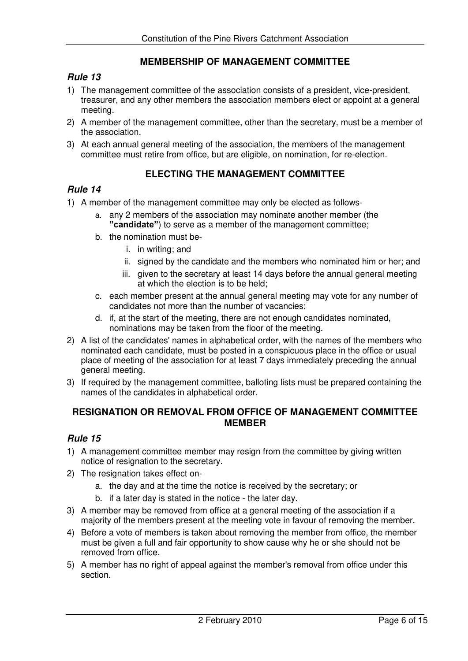## **MEMBERSHIP OF MANAGEMENT COMMITTEE**

#### *Rule 13*

- 1) The management committee of the association consists of a president, vice-president, treasurer, and any other members the association members elect or appoint at a general meeting.
- 2) A member of the management committee, other than the secretary, must be a member of the association.
- 3) At each annual general meeting of the association, the members of the management committee must retire from office, but are eligible, on nomination, for re-election.

## **ELECTING THE MANAGEMENT COMMITTEE**

#### *Rule 14*

- 1) A member of the management committee may only be elected as follows
	- a. any 2 members of the association may nominate another member (the **"candidate"**) to serve as a member of the management committee;
	- b. the nomination must be
		- i. in writing; and
		- ii. signed by the candidate and the members who nominated him or her; and
		- iii. given to the secretary at least 14 days before the annual general meeting at which the election is to be held;
	- c. each member present at the annual general meeting may vote for any number of candidates not more than the number of vacancies;
	- d. if, at the start of the meeting, there are not enough candidates nominated, nominations may be taken from the floor of the meeting.
- 2) A list of the candidates' names in alphabetical order, with the names of the members who nominated each candidate, must be posted in a conspicuous place in the office or usual place of meeting of the association for at least 7 days immediately preceding the annual general meeting.
- 3) If required by the management committee, balloting lists must be prepared containing the names of the candidates in alphabetical order.

## **RESIGNATION OR REMOVAL FROM OFFICE OF MANAGEMENT COMMITTEE MEMBER**

- 1) A management committee member may resign from the committee by giving written notice of resignation to the secretary.
- 2) The resignation takes effect on
	- a. the day and at the time the notice is received by the secretary; or
	- b. if a later day is stated in the notice the later day.
- 3) A member may be removed from office at a general meeting of the association if a majority of the members present at the meeting vote in favour of removing the member.
- 4) Before a vote of members is taken about removing the member from office, the member must be given a full and fair opportunity to show cause why he or she should not be removed from office.
- 5) A member has no right of appeal against the member's removal from office under this section.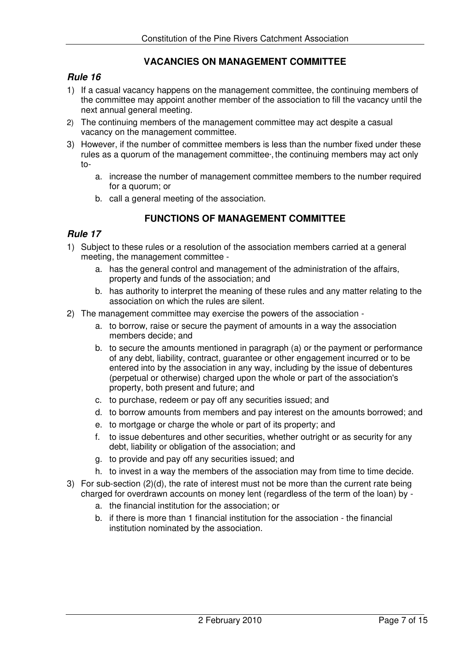## **VACANCIES ON MANAGEMENT COMMITTEE**

#### *Rule 16*

- 1) If a casual vacancy happens on the management committee, the continuing members of the committee may appoint another member of the association to fill the vacancy until the next annual general meeting.
- 2) The continuing members of the management committee may act despite a casual vacancy on the management committee.
- 3) However, if the number of committee members is less than the number fixed under these rules as a quorum of the management committee the continuing members may act only to
	- a. increase the number of management committee members to the number required for a quorum; or
	- b. call a general meeting of the association.

## **FUNCTIONS OF MANAGEMENT COMMITTEE**

- 1) Subject to these rules or a resolution of the association members carried at a general meeting, the management committee
	- a. has the general control and management of the administration of the affairs, property and funds of the association; and
	- b. has authority to interpret the meaning of these rules and any matter relating to the association on which the rules are silent.
- 2) The management committee may exercise the powers of the association
	- a. to borrow, raise or secure the payment of amounts in a way the association members decide; and
	- b. to secure the amounts mentioned in paragraph (a) or the payment or performance of any debt, liability, contract, guarantee or other engagement incurred or to be entered into by the association in any way, including by the issue of debentures (perpetual or otherwise) charged upon the whole or part of the association's property, both present and future; and
	- c. to purchase, redeem or pay off any securities issued; and
	- d. to borrow amounts from members and pay interest on the amounts borrowed; and
	- e. to mortgage or charge the whole or part of its property; and
	- f. to issue debentures and other securities, whether outright or as security for any debt, liability or obligation of the association; and
	- g. to provide and pay off any securities issued; and
	- h. to invest in a way the members of the association may from time to time decide.
- 3) For sub-section (2)(d), the rate of interest must not be more than the current rate being charged for overdrawn accounts on money lent (regardless of the term of the loan) by
	- a. the financial institution for the association; or
	- b. if there is more than 1 financial institution for the association the financial institution nominated by the association.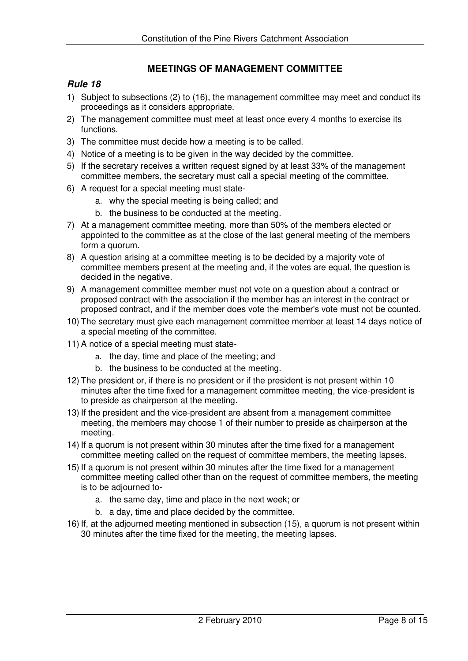## **MEETINGS OF MANAGEMENT COMMITTEE**

- 1) Subject to subsections (2) to (16), the management committee may meet and conduct its proceedings as it considers appropriate.
- 2) The management committee must meet at least once every 4 months to exercise its functions.
- 3) The committee must decide how a meeting is to be called.
- 4) Notice of a meeting is to be given in the way decided by the committee.
- 5) If the secretary receives a written request signed by at least 33% of the management committee members, the secretary must call a special meeting of the committee.
- 6) A request for a special meeting must state
	- a. why the special meeting is being called; and
	- b. the business to be conducted at the meeting.
- 7) At a management committee meeting, more than 50% of the members elected or appointed to the committee as at the close of the last general meeting of the members form a quorum.
- 8) A question arising at a committee meeting is to be decided by a majority vote of committee members present at the meeting and, if the votes are equal, the question is decided in the negative.
- 9) A management committee member must not vote on a question about a contract or proposed contract with the association if the member has an interest in the contract or proposed contract, and if the member does vote the member's vote must not be counted.
- 10) The secretary must give each management committee member at least 14 days notice of a special meeting of the committee.
- 11) A notice of a special meeting must state
	- a. the day, time and place of the meeting; and
	- b. the business to be conducted at the meeting.
- 12) The president or, if there is no president or if the president is not present within 10 minutes after the time fixed for a management committee meeting, the vice-president is to preside as chairperson at the meeting.
- 13) If the president and the vice-president are absent from a management committee meeting, the members may choose 1 of their number to preside as chairperson at the meeting.
- 14) If a quorum is not present within 30 minutes after the time fixed for a management committee meeting called on the request of committee members, the meeting lapses.
- 15) If a quorum is not present within 30 minutes after the time fixed for a management committee meeting called other than on the request of committee members, the meeting is to be adjourned to
	- a. the same day, time and place in the next week; or
	- b. a day, time and place decided by the committee.
- 16) If, at the adjourned meeting mentioned in subsection (15), a quorum is not present within 30 minutes after the time fixed for the meeting, the meeting lapses.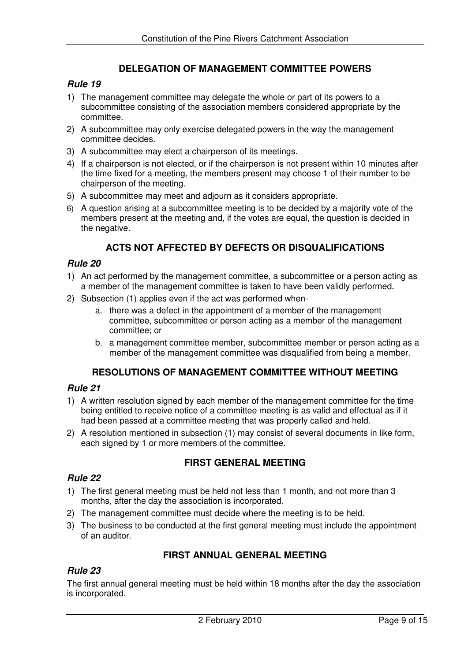## **DELEGATION OF MANAGEMENT COMMITTEE POWERS**

## *Rule 19*

- 1) The management committee may delegate the whole or part of its powers to a subcommittee consisting of the association members considered appropriate by the committee.
- 2) A subcommittee may only exercise delegated powers in the way the management committee decides.
- 3) A subcommittee may elect a chairperson of its meetings.
- 4) If a chairperson is not elected, or if the chairperson is not present within 10 minutes after the time fixed for a meeting, the members present may choose 1 of their number to be chairperson of the meeting.
- 5) A subcommittee may meet and adjourn as it considers appropriate.
- 6) A question arising at a subcommittee meeting is to be decided by a majority vote of the members present at the meeting and, if the votes are equal, the question is decided in the negative.

## **ACTS NOT AFFECTED BY DEFECTS OR DISQUALIFICATIONS**

#### *Rule 20*

- 1) An act performed by the management committee, a subcommittee or a person acting as a member of the management committee is taken to have been validly performed.
- 2) Subsection (1) applies even if the act was performed when
	- a. there was a defect in the appointment of a member of the management committee, subcommittee or person acting as a member of the management committee; or
	- b. a management committee member, subcommittee member or person acting as a member of the management committee was disqualified from being a member.

#### **RESOLUTIONS OF MANAGEMENT COMMITTEE WITHOUT MEETING**

#### *Rule 21*

- 1) A written resolution signed by each member of the management committee for the time being entitled to receive notice of a committee meeting is as valid and effectual as if it had been passed at a committee meeting that was properly called and held.
- 2) A resolution mentioned in subsection (1) may consist of several documents in like form, each signed by 1 or more members of the committee.

#### **FIRST GENERAL MEETING**

#### *Rule 22*

- 1) The first general meeting must be held not less than 1 month, and not more than 3 months, after the day the association is incorporated.
- 2) The management committee must decide where the meeting is to be held.
- 3) The business to be conducted at the first general meeting must include the appointment of an auditor.

## **FIRST ANNUAL GENERAL MEETING**

## *Rule 23*

The first annual general meeting must be held within 18 months after the day the association is incorporated.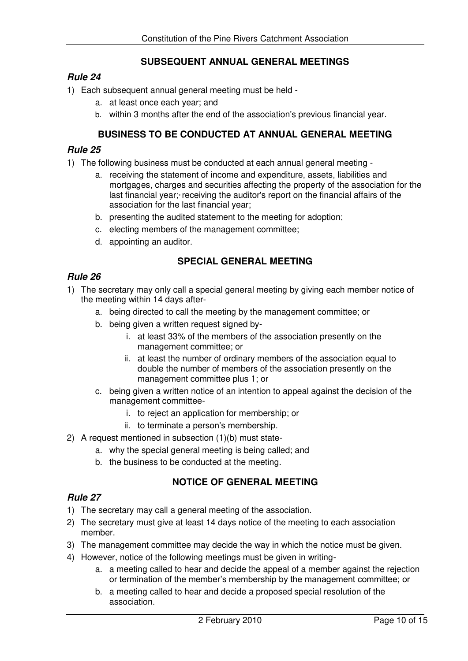## **SUBSEQUENT ANNUAL GENERAL MEETINGS**

#### *Rule 24*

- 1) Each subsequent annual general meeting must be held
	- a. at least once each year; and
	- b. within 3 months after the end of the association's previous financial year.

## **BUSINESS TO BE CONDUCTED AT ANNUAL GENERAL MEETING**

#### *Rule 25*

- 1) The following business must be conducted at each annual general meeting
	- a. receiving the statement of income and expenditure, assets, liabilities and mortgages, charges and securities affecting the property of the association for the last financial year; receiving the auditor's report on the financial affairs of the association for the last financial year;
	- b. presenting the audited statement to the meeting for adoption;
	- c. electing members of the management committee;
	- d. appointing an auditor.

## **SPECIAL GENERAL MEETING**

#### *Rule 26*

- 1) The secretary may only call a special general meeting by giving each member notice of the meeting within 14 days after
	- a. being directed to call the meeting by the management committee; or
	- b. being given a written request signed by
		- i. at least 33% of the members of the association presently on the management committee; or
		- ii. at least the number of ordinary members of the association equal to double the number of members of the association presently on the management committee plus 1; or
	- c. being given a written notice of an intention to appeal against the decision of the management committee
		- i. to reject an application for membership; or
		- ii. to terminate a person's membership.
- 2) A request mentioned in subsection (1)(b) must state
	- a. why the special general meeting is being called; and
	- b. the business to be conducted at the meeting.

## **NOTICE OF GENERAL MEETING**

- 1) The secretary may call a general meeting of the association.
- 2) The secretary must give at least 14 days notice of the meeting to each association member.
- 3) The management committee may decide the way in which the notice must be given.
- 4) However, notice of the following meetings must be given in writing
	- a. a meeting called to hear and decide the appeal of a member against the rejection or termination of the member's membership by the management committee; or
	- b. a meeting called to hear and decide a proposed special resolution of the association.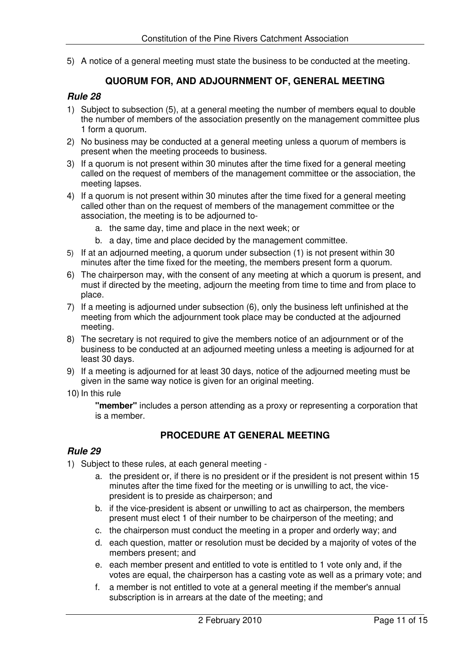5) A notice of a general meeting must state the business to be conducted at the meeting.

## **QUORUM FOR, AND ADJOURNMENT OF, GENERAL MEETING**

#### *Rule 28*

- 1) Subject to subsection (5), at a general meeting the number of members equal to double the number of members of the association presently on the management committee plus 1 form a quorum.
- 2) No business may be conducted at a general meeting unless a quorum of members is present when the meeting proceeds to business.
- 3) If a quorum is not present within 30 minutes after the time fixed for a general meeting called on the request of members of the management committee or the association, the meeting lapses.
- 4) If a quorum is not present within 30 minutes after the time fixed for a general meeting called other than on the request of members of the management committee or the association, the meeting is to be adjourned to
	- a. the same day, time and place in the next week; or
	- b. a day, time and place decided by the management committee.
- 5) If at an adjourned meeting, a quorum under subsection (1) is not present within 30 minutes after the time fixed for the meeting, the members present form a quorum.
- 6) The chairperson may, with the consent of any meeting at which a quorum is present, and must if directed by the meeting, adjourn the meeting from time to time and from place to place.
- 7) If a meeting is adjourned under subsection (6), only the business left unfinished at the meeting from which the adjournment took place may be conducted at the adjourned meeting.
- 8) The secretary is not required to give the members notice of an adjournment or of the business to be conducted at an adjourned meeting unless a meeting is adjourned for at least 30 days.
- 9) If a meeting is adjourned for at least 30 days, notice of the adjourned meeting must be given in the same way notice is given for an original meeting.
- 10) In this rule

**"member"** includes a person attending as a proxy or representing a corporation that is a member.

## **PROCEDURE AT GENERAL MEETING**

- 1) Subject to these rules, at each general meeting
	- a. the president or, if there is no president or if the president is not present within 15 minutes after the time fixed for the meeting or is unwilling to act, the vicepresident is to preside as chairperson; and
	- b. if the vice-president is absent or unwilling to act as chairperson, the members present must elect 1 of their number to be chairperson of the meeting; and
	- c. the chairperson must conduct the meeting in a proper and orderly way; and
	- d. each question, matter or resolution must be decided by a majority of votes of the members present; and
	- e. each member present and entitled to vote is entitled to 1 vote only and, if the votes are equal, the chairperson has a casting vote as well as a primary vote; and
	- f. a member is not entitled to vote at a general meeting if the member's annual subscription is in arrears at the date of the meeting; and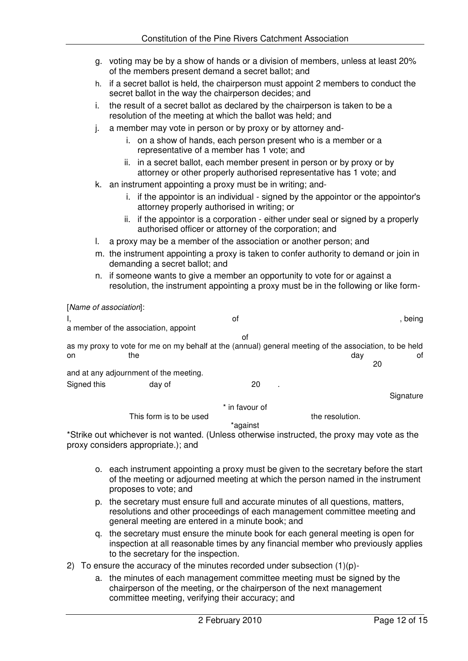- g. voting may be by a show of hands or a division of members, unless at least 20% of the members present demand a secret ballot; and
- h. if a secret ballot is held, the chairperson must appoint 2 members to conduct the secret ballot in the way the chairperson decides; and
- i. the result of a secret ballot as declared by the chairperson is taken to be a resolution of the meeting at which the ballot was held; and
- j. a member may vote in person or by proxy or by attorney and
	- i. on a show of hands, each person present who is a member or a representative of a member has 1 vote; and
	- ii. in a secret ballot, each member present in person or by proxy or by attorney or other properly authorised representative has 1 vote; and
- k. an instrument appointing a proxy must be in writing; and
	- i. if the appointor is an individual signed by the appointor or the appointor's attorney properly authorised in writing; or
	- ii. if the appointor is a corporation either under seal or signed by a properly authorised officer or attorney of the corporation; and
- l. a proxy may be a member of the association or another person; and
- m. the instrument appointing a proxy is taken to confer authority to demand or join in demanding a secret ballot; and
- n. if someone wants to give a member an opportunity to vote for or against a resolution, the instrument appointing a proxy must be in the following or like form-

[*Name of association*]: I, of , being a member of the association, appoint of as my proxy to vote for me on my behalf at the (annual) general meeting of the association, to be held on the the day of the day of the day of the day of the day of the day of the day of the day of the day of the day of  $20$ and at any adjournment of the meeting. Signed this day of 20 **Signature** \* in favour of This form is to be used the resolution.

\*against

\*Strike out whichever is not wanted. (Unless otherwise instructed, the proxy may vote as the proxy considers appropriate.); and

- o. each instrument appointing a proxy must be given to the secretary before the start of the meeting or adjourned meeting at which the person named in the instrument proposes to vote; and
- p. the secretary must ensure full and accurate minutes of all questions, matters, resolutions and other proceedings of each management committee meeting and general meeting are entered in a minute book; and
- q. the secretary must ensure the minute book for each general meeting is open for inspection at all reasonable times by any financial member who previously applies to the secretary for the inspection.
- 2) To ensure the accuracy of the minutes recorded under subsection  $(1)(p)$ 
	- a. the minutes of each management committee meeting must be signed by the chairperson of the meeting, or the chairperson of the next management committee meeting, verifying their accuracy; and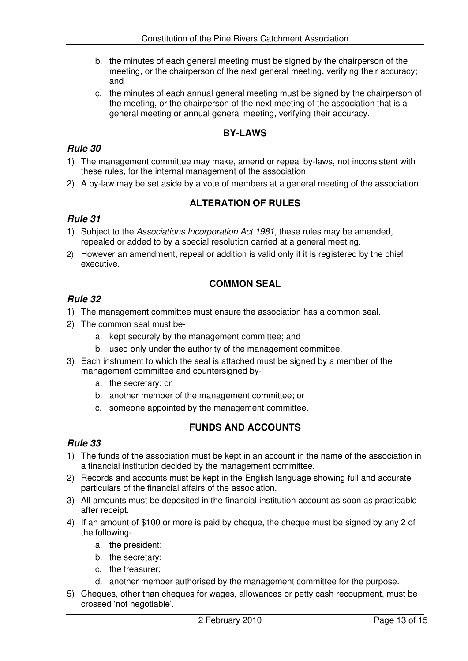- b. the minutes of each general meeting must be signed by the chairperson of the meeting, or the chairperson of the next general meeting, verifying their accuracy; and
- c. the minutes of each annual general meeting must be signed by the chairperson of the meeting, or the chairperson of the next meeting of the association that is a general meeting or annual general meeting, verifying their accuracy.

## **BY-LAWS**

## *Rule 30*

- 1) The management committee may make, amend or repeal by-laws, not inconsistent with these rules, for the internal management of the association.
- 2) A by-law may be set aside by a vote of members at a general meeting of the association.

## **ALTERATION OF RULES**

#### *Rule 31*

- 1) Subject to the *Associations Incorporation Act 1981*, these rules may be amended, repealed or added to by a special resolution carried at a general meeting.
- 2) However an amendment, repeal or addition is valid only if it is registered by the chief executive.

## **COMMON SEAL**

## *Rule 32*

- 1) The management committee must ensure the association has a common seal.
- 2) The common seal must be
	- a. kept securely by the management committee; and
	- b. used only under the authority of the management committee.
- 3) Each instrument to which the seal is attached must be signed by a member of the management committee and countersigned by
	- a. the secretary; or
	- b. another member of the management committee; or
	- c. someone appointed by the management committee.

## **FUNDS AND ACCOUNTS**

- 1) The funds of the association must be kept in an account in the name of the association in a financial institution decided by the management committee.
- 2) Records and accounts must be kept in the English language showing full and accurate particulars of the financial affairs of the association.
- 3) All amounts must be deposited in the financial institution account as soon as practicable after receipt.
- 4) If an amount of \$100 or more is paid by cheque, the cheque must be signed by any 2 of the following
	- a. the president;
	- b. the secretary;
	- c. the treasurer;
	- d. another member authorised by the management committee for the purpose.
- 5) Cheques, other than cheques for wages, allowances or petty cash recoupment, must be crossed 'not negotiable'.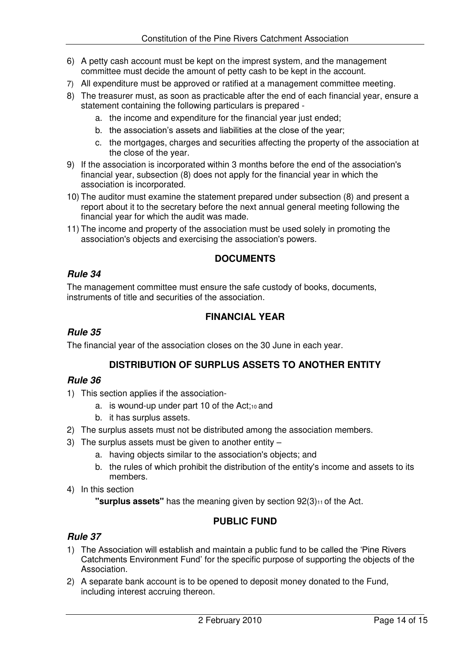- 6) A petty cash account must be kept on the imprest system, and the management committee must decide the amount of petty cash to be kept in the account.
- 7) All expenditure must be approved or ratified at a management committee meeting.
- 8) The treasurer must, as soon as practicable after the end of each financial year, ensure a statement containing the following particulars is prepared
	- a. the income and expenditure for the financial year just ended;
	- b. the association's assets and liabilities at the close of the year;
	- c. the mortgages, charges and securities affecting the property of the association at the close of the year.
- 9) If the association is incorporated within 3 months before the end of the association's financial year, subsection (8) does not apply for the financial year in which the association is incorporated.
- 10) The auditor must examine the statement prepared under subsection (8) and present a report about it to the secretary before the next annual general meeting following the financial year for which the audit was made.
- 11) The income and property of the association must be used solely in promoting the association's objects and exercising the association's powers.

## **DOCUMENTS**

#### *Rule 34*

The management committee must ensure the safe custody of books, documents, instruments of title and securities of the association.

## **FINANCIAL YEAR**

#### *Rule 35*

The financial year of the association closes on the 30 June in each year.

#### **DISTRIBUTION OF SURPLUS ASSETS TO ANOTHER ENTITY**

#### *Rule 36*

- 1) This section applies if the association
	- a. is wound-up under part 10 of the Act; $10$  and
	- b. it has surplus assets.
- 2) The surplus assets must not be distributed among the association members.
- 3) The surplus assets must be given to another entity
	- a. having objects similar to the association's objects; and
	- b. the rules of which prohibit the distribution of the entity's income and assets to its members.
- 4) In this section

**"surplus assets"** has the meaning given by section 92(3)<sup>11</sup> of the Act.

## **PUBLIC FUND**

- 1) The Association will establish and maintain a public fund to be called the 'Pine Rivers Catchments Environment Fund' for the specific purpose of supporting the objects of the Association.
- 2) A separate bank account is to be opened to deposit money donated to the Fund, including interest accruing thereon.